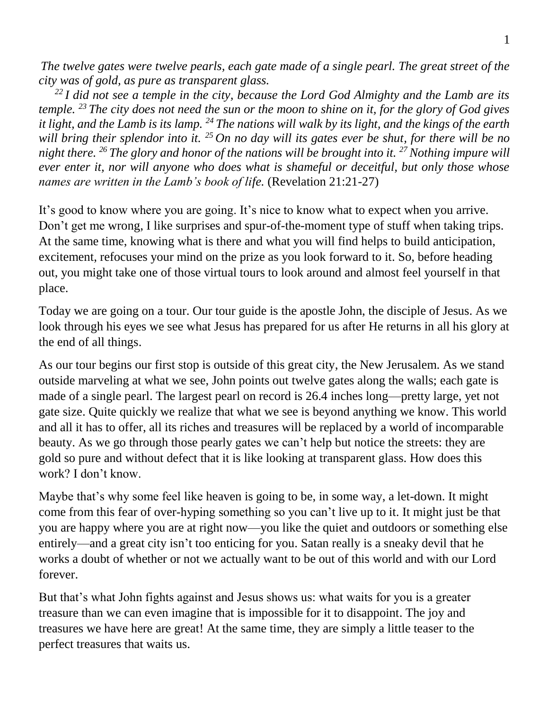*The twelve gates were twelve pearls, each gate made of a single pearl. The great street of the city was of gold, as pure as transparent glass.* 

*<sup>22</sup> I did not see a temple in the city, because the Lord God Almighty and the Lamb are its temple. <sup>23</sup> The city does not need the sun or the moon to shine on it, for the glory of God gives it light, and the Lamb is its lamp. <sup>24</sup> The nations will walk by its light, and the kings of the earth will bring their splendor into it. <sup>25</sup> On no day will its gates ever be shut, for there will be no night there. <sup>26</sup> The glory and honor of the nations will be brought into it. <sup>27</sup>Nothing impure will ever enter it, nor will anyone who does what is shameful or deceitful, but only those whose names are written in the Lamb's book of life.* (Revelation 21:21-27)

It's good to know where you are going. It's nice to know what to expect when you arrive. Don't get me wrong, I like surprises and spur-of-the-moment type of stuff when taking trips. At the same time, knowing what is there and what you will find helps to build anticipation, excitement, refocuses your mind on the prize as you look forward to it. So, before heading out, you might take one of those virtual tours to look around and almost feel yourself in that place.

Today we are going on a tour. Our tour guide is the apostle John, the disciple of Jesus. As we look through his eyes we see what Jesus has prepared for us after He returns in all his glory at the end of all things.

As our tour begins our first stop is outside of this great city, the New Jerusalem. As we stand outside marveling at what we see, John points out twelve gates along the walls; each gate is made of a single pearl. The largest pearl on record is 26.4 inches long—pretty large, yet not gate size. Quite quickly we realize that what we see is beyond anything we know. This world and all it has to offer, all its riches and treasures will be replaced by a world of incomparable beauty. As we go through those pearly gates we can't help but notice the streets: they are gold so pure and without defect that it is like looking at transparent glass. How does this work? I don't know.

Maybe that's why some feel like heaven is going to be, in some way, a let-down. It might come from this fear of over-hyping something so you can't live up to it. It might just be that you are happy where you are at right now—you like the quiet and outdoors or something else entirely—and a great city isn't too enticing for you. Satan really is a sneaky devil that he works a doubt of whether or not we actually want to be out of this world and with our Lord forever.

But that's what John fights against and Jesus shows us: what waits for you is a greater treasure than we can even imagine that is impossible for it to disappoint. The joy and treasures we have here are great! At the same time, they are simply a little teaser to the perfect treasures that waits us.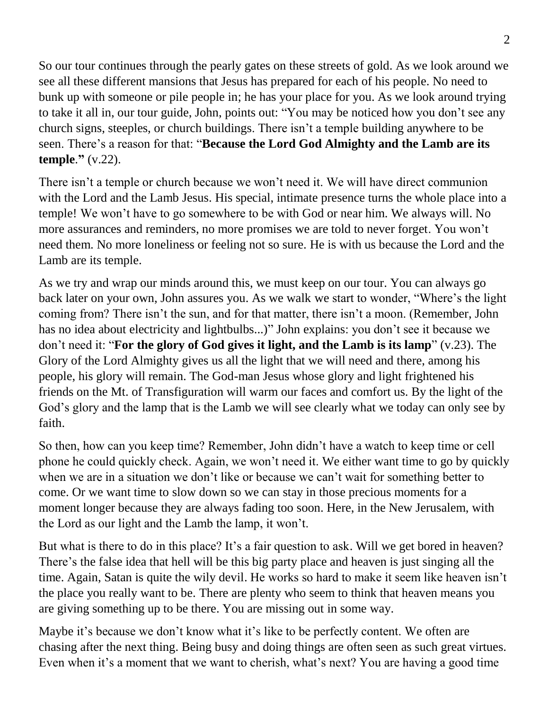So our tour continues through the pearly gates on these streets of gold. As we look around we see all these different mansions that Jesus has prepared for each of his people. No need to bunk up with someone or pile people in; he has your place for you. As we look around trying to take it all in, our tour guide, John, points out: "You may be noticed how you don't see any church signs, steeples, or church buildings. There isn't a temple building anywhere to be seen. There's a reason for that: "**Because the Lord God Almighty and the Lamb are its temple**.**"** (v.22).

There isn't a temple or church because we won't need it. We will have direct communion with the Lord and the Lamb Jesus. His special, intimate presence turns the whole place into a temple! We won't have to go somewhere to be with God or near him. We always will. No more assurances and reminders, no more promises we are told to never forget. You won't need them. No more loneliness or feeling not so sure. He is with us because the Lord and the Lamb are its temple.

As we try and wrap our minds around this, we must keep on our tour. You can always go back later on your own, John assures you. As we walk we start to wonder, "Where's the light coming from? There isn't the sun, and for that matter, there isn't a moon. (Remember, John has no idea about electricity and lightbulbs...)" John explains: you don't see it because we don't need it: "**For the glory of God gives it light, and the Lamb is its lamp**" (v.23). The Glory of the Lord Almighty gives us all the light that we will need and there, among his people, his glory will remain. The God-man Jesus whose glory and light frightened his friends on the Mt. of Transfiguration will warm our faces and comfort us. By the light of the God's glory and the lamp that is the Lamb we will see clearly what we today can only see by faith.

So then, how can you keep time? Remember, John didn't have a watch to keep time or cell phone he could quickly check. Again, we won't need it. We either want time to go by quickly when we are in a situation we don't like or because we can't wait for something better to come. Or we want time to slow down so we can stay in those precious moments for a moment longer because they are always fading too soon. Here, in the New Jerusalem, with the Lord as our light and the Lamb the lamp, it won't.

But what is there to do in this place? It's a fair question to ask. Will we get bored in heaven? There's the false idea that hell will be this big party place and heaven is just singing all the time. Again, Satan is quite the wily devil. He works so hard to make it seem like heaven isn't the place you really want to be. There are plenty who seem to think that heaven means you are giving something up to be there. You are missing out in some way.

Maybe it's because we don't know what it's like to be perfectly content. We often are chasing after the next thing. Being busy and doing things are often seen as such great virtues. Even when it's a moment that we want to cherish, what's next? You are having a good time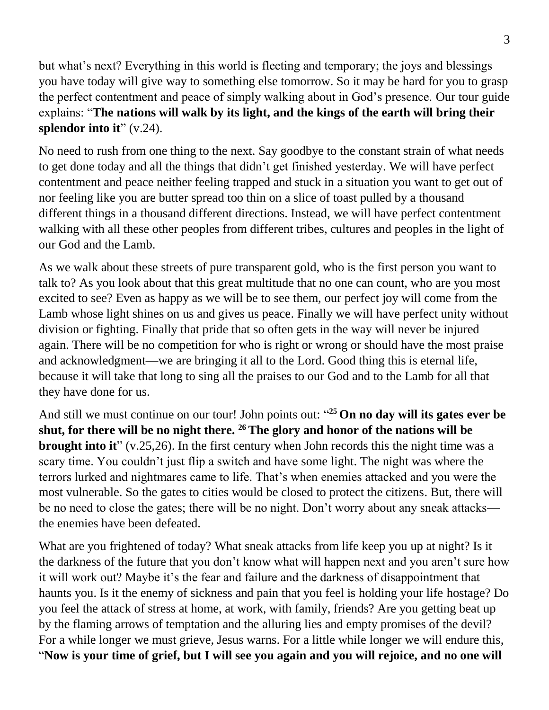but what's next? Everything in this world is fleeting and temporary; the joys and blessings you have today will give way to something else tomorrow. So it may be hard for you to grasp the perfect contentment and peace of simply walking about in God's presence. Our tour guide explains: "**The nations will walk by its light, and the kings of the earth will bring their splendor into it**" (v.24).

No need to rush from one thing to the next. Say goodbye to the constant strain of what needs to get done today and all the things that didn't get finished yesterday. We will have perfect contentment and peace neither feeling trapped and stuck in a situation you want to get out of nor feeling like you are butter spread too thin on a slice of toast pulled by a thousand different things in a thousand different directions. Instead, we will have perfect contentment walking with all these other peoples from different tribes, cultures and peoples in the light of our God and the Lamb.

As we walk about these streets of pure transparent gold, who is the first person you want to talk to? As you look about that this great multitude that no one can count, who are you most excited to see? Even as happy as we will be to see them, our perfect joy will come from the Lamb whose light shines on us and gives us peace. Finally we will have perfect unity without division or fighting. Finally that pride that so often gets in the way will never be injured again. There will be no competition for who is right or wrong or should have the most praise and acknowledgment—we are bringing it all to the Lord. Good thing this is eternal life, because it will take that long to sing all the praises to our God and to the Lamb for all that they have done for us.

And still we must continue on our tour! John points out: " **<sup>25</sup> On no day will its gates ever be shut, for there will be no night there. <sup>26</sup>The glory and honor of the nations will be brought into it**" (v.25,26). In the first century when John records this the night time was a scary time. You couldn't just flip a switch and have some light. The night was where the terrors lurked and nightmares came to life. That's when enemies attacked and you were the most vulnerable. So the gates to cities would be closed to protect the citizens. But, there will be no need to close the gates; there will be no night. Don't worry about any sneak attacks the enemies have been defeated.

What are you frightened of today? What sneak attacks from life keep you up at night? Is it the darkness of the future that you don't know what will happen next and you aren't sure how it will work out? Maybe it's the fear and failure and the darkness of disappointment that haunts you. Is it the enemy of sickness and pain that you feel is holding your life hostage? Do you feel the attack of stress at home, at work, with family, friends? Are you getting beat up by the flaming arrows of temptation and the alluring lies and empty promises of the devil? For a while longer we must grieve, Jesus warns. For a little while longer we will endure this, "**Now is your time of grief, but I will see you again and you will rejoice, and no one will**